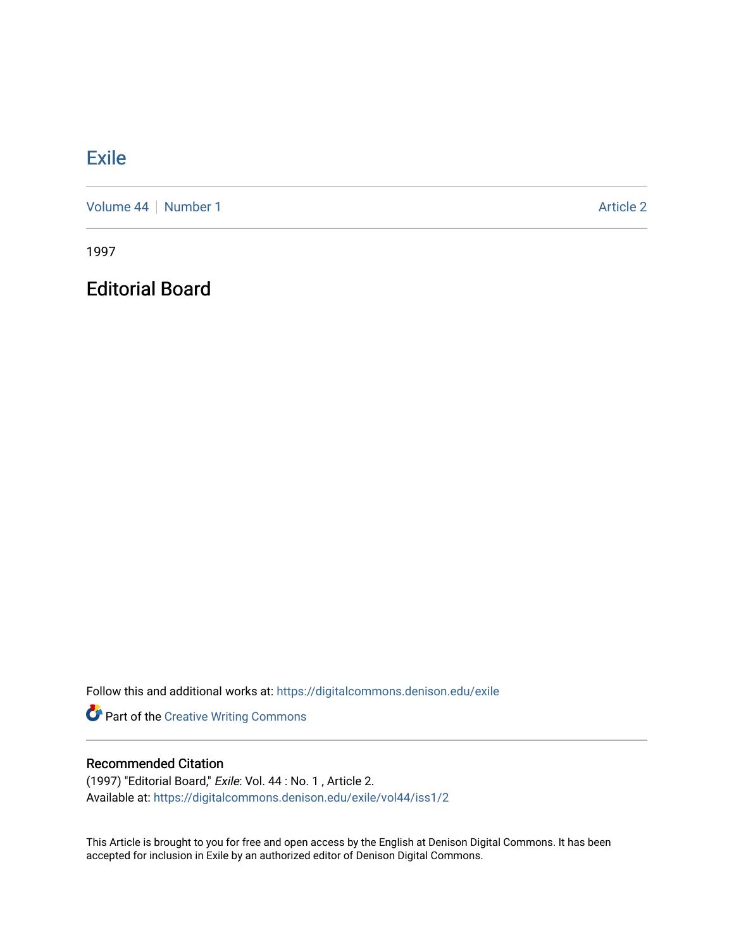## **[Exile](https://digitalcommons.denison.edu/exile)**

[Volume 44](https://digitalcommons.denison.edu/exile/vol44) | [Number 1](https://digitalcommons.denison.edu/exile/vol44/iss1) Article 2

1997

Editorial Board

Follow this and additional works at: [https://digitalcommons.denison.edu/exile](https://digitalcommons.denison.edu/exile?utm_source=digitalcommons.denison.edu%2Fexile%2Fvol44%2Fiss1%2F2&utm_medium=PDF&utm_campaign=PDFCoverPages) 

Part of the [Creative Writing Commons](http://network.bepress.com/hgg/discipline/574?utm_source=digitalcommons.denison.edu%2Fexile%2Fvol44%2Fiss1%2F2&utm_medium=PDF&utm_campaign=PDFCoverPages) 

## Recommended Citation

(1997) "Editorial Board," Exile: Vol. 44 : No. 1 , Article 2. Available at: [https://digitalcommons.denison.edu/exile/vol44/iss1/2](https://digitalcommons.denison.edu/exile/vol44/iss1/2?utm_source=digitalcommons.denison.edu%2Fexile%2Fvol44%2Fiss1%2F2&utm_medium=PDF&utm_campaign=PDFCoverPages) 

This Article is brought to you for free and open access by the English at Denison Digital Commons. It has been accepted for inclusion in Exile by an authorized editor of Denison Digital Commons.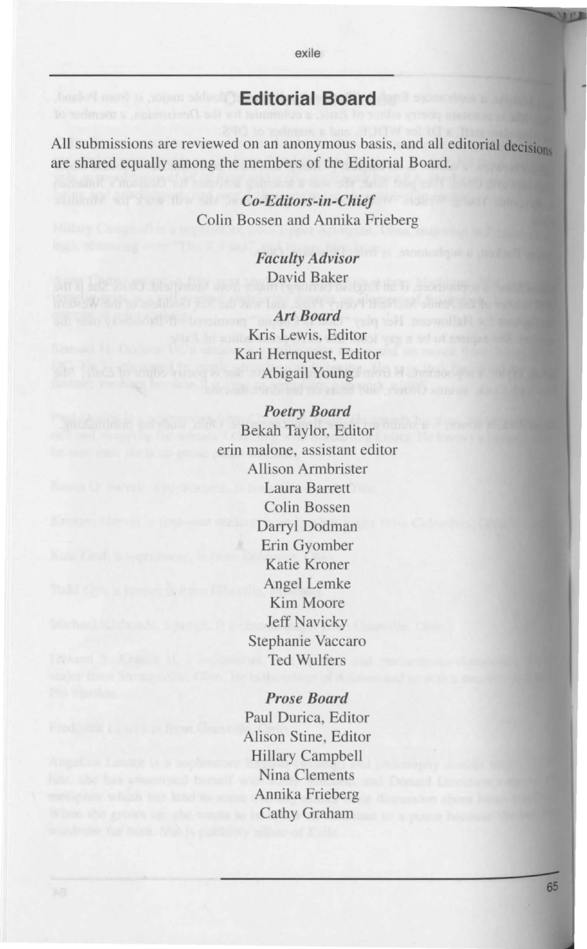## **Editorial Board**

exile

All submissions are reviewed on an anonymous basis, and all editorial decisions are shared equally among the members of the Editorial Board.

> *Co-Editors-in-Chief*  Colin Bossen and Annika Frieberg

> > *Faculty Advisor*  David Baker

*Art Board*  Kris Lewis, Editor Kari Hernquest, Editor Abigail Young

## *Poetry Board*

Bekah Taylor, Editor erin malone, assistant editor Allison Armbrister Laura Barrett Colin Bossen Darryl Dodman Erin Gyomber Katie Kroner Angel Lemke Kim Moore Jeff Navicky Stephanie Vaccaro Ted Wulfer

> *Prose Board*  Paul Durica, Editor Alison Stine, Editor Hillary Campbell Nina Clements Annika Frieberg Cathy Graham